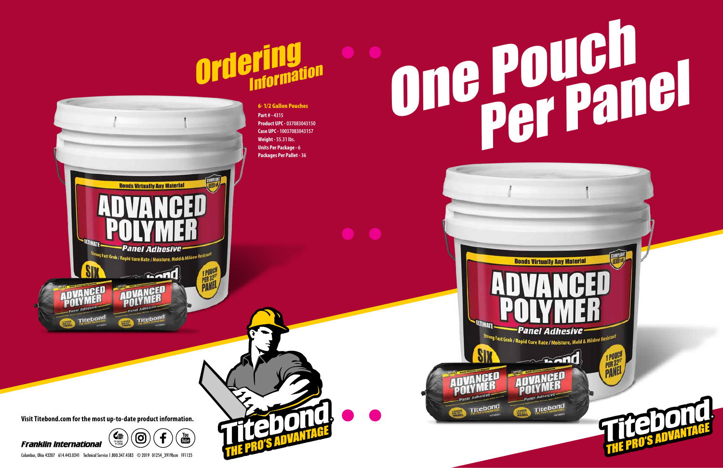Columbus, Ohio 43207 614.443.0241 Technical Service 1.800.347.4583 © 2019 01254\_3919bcm FF1125